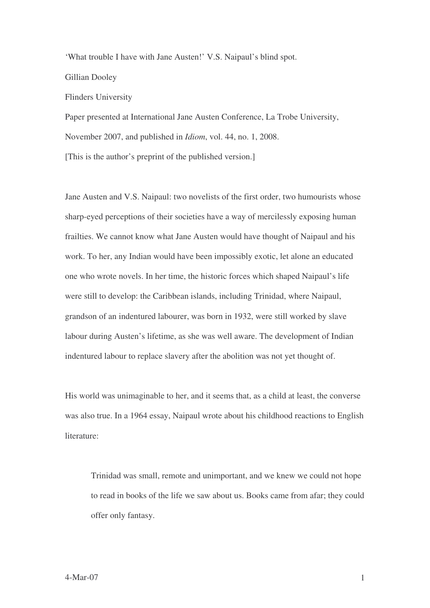'What trouble I have with Jane Austen!' V.S. Naipaul's blind spot.

Gillian Dooley

Flinders University

Paper presented at International Jane Austen Conference, La Trobe University,

November 2007, and published in *Idiom*, vol. 44, no. 1, 2008.

[This is the author's preprint of the published version.]

Jane Austen and V.S. Naipaul: two novelists of the first order, two humourists whose sharp-eyed perceptions of their societies have a way of mercilessly exposing human frailties. We cannot know what Jane Austen would have thought of Naipaul and his work. To her, any Indian would have been impossibly exotic, let alone an educated one who wrote novels. In her time, the historic forces which shaped Naipaul's life were still to develop: the Caribbean islands, including Trinidad, where Naipaul, grandson of an indentured labourer, was born in 1932, were still worked by slave labour during Austen's lifetime, as she was well aware. The development of Indian indentured labour to replace slavery after the abolition was not yet thought of.

His world was unimaginable to her, and it seems that, as a child at least, the converse was also true. In a 1964 essay, Naipaul wrote about his childhood reactions to English literature:

Trinidad was small, remote and unimportant, and we knew we could not hope to read in books of the life we saw about us. Books came from afar; they could offer only fantasy.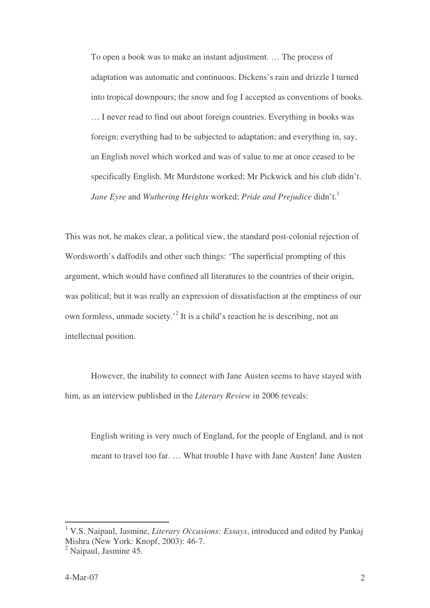To open a book was to make an instant adjustment. … The process of adaptation was automatic and continuous. Dickens's rain and drizzle I turned into tropical downpours; the snow and fog I accepted as conventions of books. … I never read to find out about foreign countries. Everything in books was foreign; everything had to be subjected to adaptation; and everything in, say, an English novel which worked and was of value to me at once ceased to be specifically English. Mr Murdstone worked; Mr Pickwick and his club didn't. *Jane Eyre* and *Wuthering Heights* worked; *Pride and Prejudice* didn't. 1

This was not, he makes clear, a political view, the standard post-colonial rejection of Wordsworth's daffodils and other such things: 'The superficial prompting of this argument, which would have confined all literatures to the countries of their origin, was political; but it was really an expression of dissatisfaction at the emptiness of our own formless, unmade society.<sup>2</sup> It is a child's reaction he is describing, not an intellectual position.

However, the inability to connect with Jane Austen seems to have stayed with him, as an interview published in the *Literary Review* in 2006 reveals:

English writing is very much of England, for the people of England, and is not meant to travel too far. … What trouble I have with Jane Austen! Jane Austen

<sup>1</sup> V.S. Naipaul, Jasmine, *Literary Occasions: Essays*, introduced and edited by Pankaj Mishra (New York: Knopf, 2003): 46-7.

<sup>2</sup> Naipaul, Jasmine 45.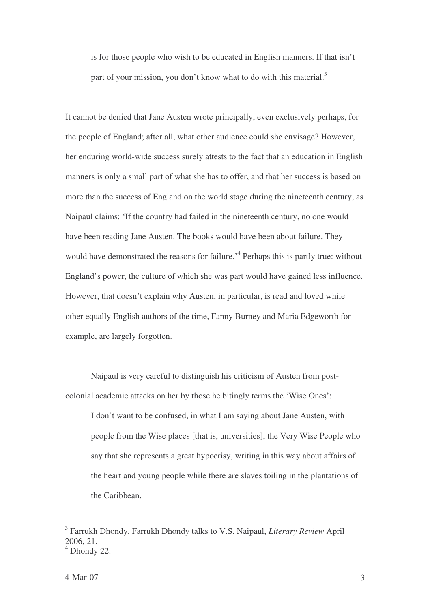is for those people who wish to be educated in English manners. If that isn't part of your mission, you don't know what to do with this material.<sup>3</sup>

It cannot be denied that Jane Austen wrote principally, even exclusively perhaps, for the people of England; after all, what other audience could she envisage? However, her enduring world-wide success surely attests to the fact that an education in English manners is only a small part of what she has to offer, and that her success is based on more than the success of England on the world stage during the nineteenth century, as Naipaul claims: 'If the country had failed in the nineteenth century, no one would have been reading Jane Austen. The books would have been about failure. They would have demonstrated the reasons for failure.<sup>4</sup> Perhaps this is partly true: without England's power, the culture of which she was part would have gained less influence. However, that doesn't explain why Austen, in particular, is read and loved while other equally English authors of the time, Fanny Burney and Maria Edgeworth for example, are largely forgotten.

Naipaul is very careful to distinguish his criticism of Austen from postcolonial academic attacks on her by those he bitingly terms the 'Wise Ones':

I don't want to be confused, in what I am saying about Jane Austen, with people from the Wise places [that is, universities], the Very Wise People who say that she represents a great hypocrisy, writing in this way about affairs of the heart and young people while there are slaves toiling in the plantations of the Caribbean.

<sup>3</sup> Farrukh Dhondy, Farrukh Dhondy talks to V.S. Naipaul, *Literary Review* April 2006, 21.

 $4$  Dhondy 22.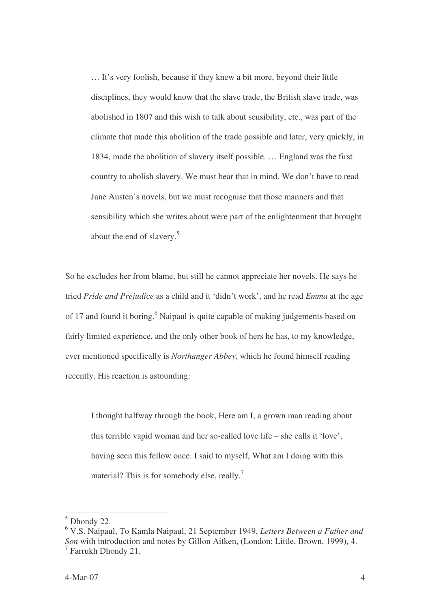… It's very foolish, because if they knew a bit more, beyond their little disciplines, they would know that the slave trade, the British slave trade, was abolished in 1807 and this wish to talk about sensibility, etc., was part of the climate that made this abolition of the trade possible and later, very quickly, in 1834, made the abolition of slavery itself possible. … England was the first country to abolish slavery. We must bear that in mind. We don't have to read Jane Austen's novels, but we must recognise that those manners and that sensibility which she writes about were part of the enlightenment that brought about the end of slavery. 5

So he excludes her from blame, but still he cannot appreciate her novels. He says he tried *Pride and Prejudice* as a child and it 'didn't work', and he read *Emma* at the age of 17 and found it boring.<sup>6</sup> Naipaul is quite capable of making judgements based on fairly limited experience, and the only other book of hers he has, to my knowledge, ever mentioned specifically is *Northanger Abbey*, which he found himself reading recently. His reaction is astounding:

I thought halfway through the book, Here am I, a grown man reading about this terrible vapid woman and her so-called love life – she calls it 'love', having seen this fellow once. I said to myself, What am I doing with this material? This is for somebody else, really.<sup>7</sup>

 $<sup>5</sup>$  Dhondy 22.</sup>

<sup>6</sup> V.S. Naipaul, To Kamla Naipaul, 21 September 1949, *Letters Between a Father and Son* with introduction and notes by Gillon Aitken, (London: Little, Brown, 1999), 4. <sup>7</sup> Farrukh Dhondy 21.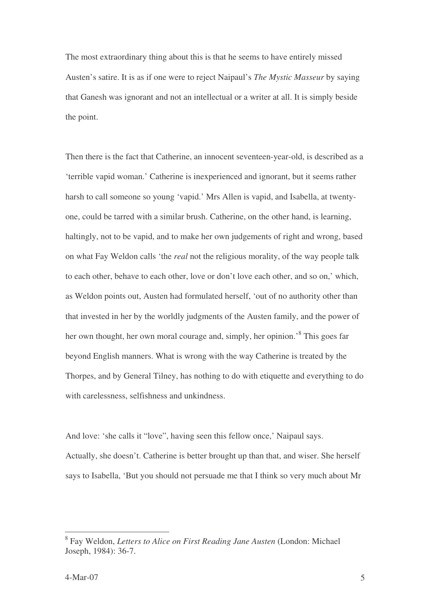The most extraordinary thing about this is that he seems to have entirely missed Austen's satire. It is as if one were to reject Naipaul's *The Mystic Masseur* by saying that Ganesh was ignorant and not an intellectual or a writer at all. It is simply beside the point.

Then there is the fact that Catherine, an innocent seventeen-year-old, is described as a 'terrible vapid woman.' Catherine is inexperienced and ignorant, but it seems rather harsh to call someone so young 'vapid.' Mrs Allen is vapid, and Isabella, at twentyone, could be tarred with a similar brush. Catherine, on the other hand, is learning, haltingly, not to be vapid, and to make her own judgements of right and wrong, based on what Fay Weldon calls 'the *real* not the religious morality, of the way people talk to each other, behave to each other, love or don't love each other, and so on,' which, as Weldon points out, Austen had formulated herself, 'out of no authority other than that invested in her by the worldly judgments of the Austen family, and the power of her own thought, her own moral courage and, simply, her opinion.<sup>8</sup> This goes far beyond English manners. What is wrong with the way Catherine is treated by the Thorpes, and by General Tilney, has nothing to do with etiquette and everything to do with carelessness, selfishness and unkindness.

And love: 'she calls it "love", having seen this fellow once,' Naipaul says. Actually, she doesn't. Catherine is better brought up than that, and wiser. She herself says to Isabella, 'But you should not persuade me that I think so very much about Mr

<sup>8</sup> Fay Weldon, *Letters to Alice on First Reading Jane Austen* (London: Michael Joseph, 1984): 36-7.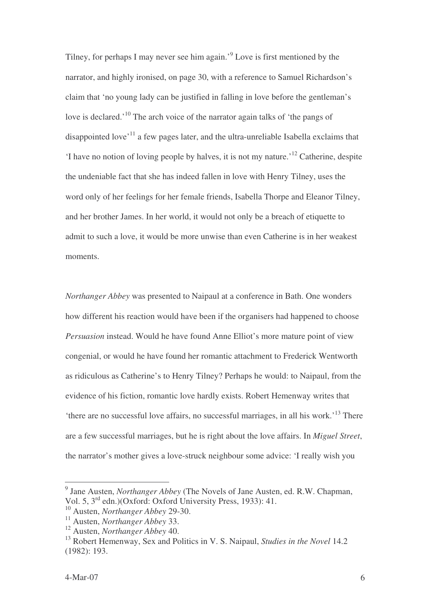Tilney, for perhaps I may never see him again.<sup>9</sup> Love is first mentioned by the narrator, and highly ironised, on page 30, with a reference to Samuel Richardson's claim that 'no young lady can be justified in falling in love before the gentleman's love is declared.<sup>'10</sup> The arch voice of the narrator again talks of 'the pangs of disappointed love<sup>, 11</sup> a few pages later, and the ultra-unreliable Isabella exclaims that 'I have no notion of loving people by halves, it is not my nature.' <sup>12</sup> Catherine, despite the undeniable fact that she has indeed fallen in love with Henry Tilney, uses the word only of her feelings for her female friends, Isabella Thorpe and Eleanor Tilney, and her brother James. In her world, it would not only be a breach of etiquette to admit to such a love, it would be more unwise than even Catherine is in her weakest moments.

*Northanger Abbey* was presented to Naipaul at a conference in Bath. One wonders how different his reaction would have been if the organisers had happened to choose *Persuasion* instead. Would he have found Anne Elliot's more mature point of view congenial, or would he have found her romantic attachment to Frederick Wentworth as ridiculous as Catherine's to Henry Tilney? Perhaps he would: to Naipaul, from the evidence of his fiction, romantic love hardly exists. Robert Hemenway writes that 'there are no successful love affairs, no successful marriages, in all his work.<sup>13</sup> There are a few successful marriages, but he is right about the love affairs. In *Miguel Street*, the narrator's mother gives a love-struck neighbour some advice: 'I really wish you

<sup>9</sup> Jane Austen, *Northanger Abbey* (The Novels of Jane Austen, ed. R.W. Chapman, Vol. 5, 3<sup>rd</sup> edn.)(Oxford: Oxford University Press, 1933): 41.

<sup>10</sup> Austen, *Northanger Abbey* 29-30.

<sup>11</sup> Austen, *Northanger Abbey* 33.

<sup>12</sup> Austen, *Northanger Abbey* 40.

<sup>13</sup> Robert Hemenway, Sex and Politics in V. S. Naipaul, *Studies in the Novel* 14.2 (1982): 193.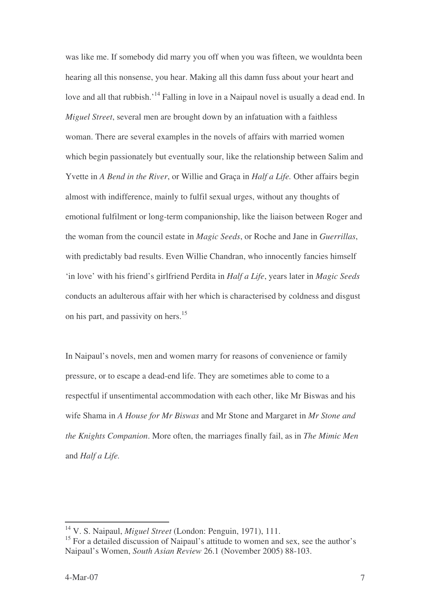was like me. If somebody did marry you off when you was fifteen, we wouldnta been hearing all this nonsense, you hear. Making all this damn fuss about your heart and love and all that rubbish.<sup>'14</sup> Falling in love in a Naipaul novel is usually a dead end. In *Miguel Street*, several men are brought down by an infatuation with a faithless woman. There are several examples in the novels of affairs with married women which begin passionately but eventually sour, like the relationship between Salim and Yvette in *A Bend in the River*, or Willie and Graça in *Half a Life.* Other affairs begin almost with indifference, mainly to fulfil sexual urges, without any thoughts of emotional fulfilment or long-term companionship, like the liaison between Roger and the woman from the council estate in *Magic Seeds*, or Roche and Jane in *Guerrillas*, with predictably bad results. Even Willie Chandran, who innocently fancies himself 'in love' with his friend's girlfriend Perdita in *Half a Life*, years later in *Magic Seeds* conducts an adulterous affair with her which is characterised by coldness and disgust on his part, and passivity on hers. 15

In Naipaul's novels, men and women marry for reasons of convenience or family pressure, or to escape a dead-end life. They are sometimes able to come to a respectful if unsentimental accommodation with each other, like Mr Biswas and his wife Shama in *A House for Mr Biswas* and Mr Stone and Margaret in *Mr Stone and the Knights Companion*. More often, the marriages finally fail, as in *The Mimic Men* and *Half a Life.*

<sup>14</sup> V. S. Naipaul, *Miguel Street* (London: Penguin, 1971), 111.

<sup>&</sup>lt;sup>15</sup> For a detailed discussion of Naipaul's attitude to women and sex, see the author's Naipaul's Women, *South Asian Review* 26.1 (November 2005) 88-103.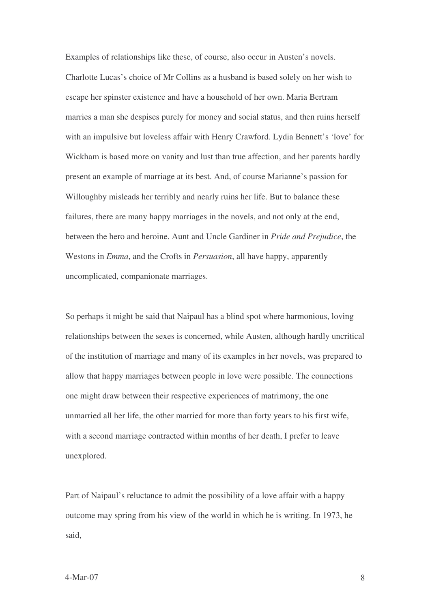Examples of relationships like these, of course, also occur in Austen's novels. Charlotte Lucas's choice of Mr Collins as a husband is based solely on her wish to escape her spinster existence and have a household of her own. Maria Bertram marries a man she despises purely for money and social status, and then ruins herself with an impulsive but loveless affair with Henry Crawford. Lydia Bennett's 'love' for Wickham is based more on vanity and lust than true affection, and her parents hardly present an example of marriage at its best. And, of course Marianne's passion for Willoughby misleads her terribly and nearly ruins her life. But to balance these failures, there are many happy marriages in the novels, and not only at the end, between the hero and heroine. Aunt and Uncle Gardiner in *Pride and Prejudice*, the Westons in *Emma*, and the Crofts in *Persuasion*, all have happy, apparently uncomplicated, companionate marriages.

So perhaps it might be said that Naipaul has a blind spot where harmonious, loving relationships between the sexes is concerned, while Austen, although hardly uncritical of the institution of marriage and many of its examples in her novels, was prepared to allow that happy marriages between people in love were possible. The connections one might draw between their respective experiences of matrimony, the one unmarried all her life, the other married for more than forty years to his first wife, with a second marriage contracted within months of her death, I prefer to leave unexplored.

Part of Naipaul's reluctance to admit the possibility of a love affair with a happy outcome may spring from his view of the world in which he is writing. In 1973, he said,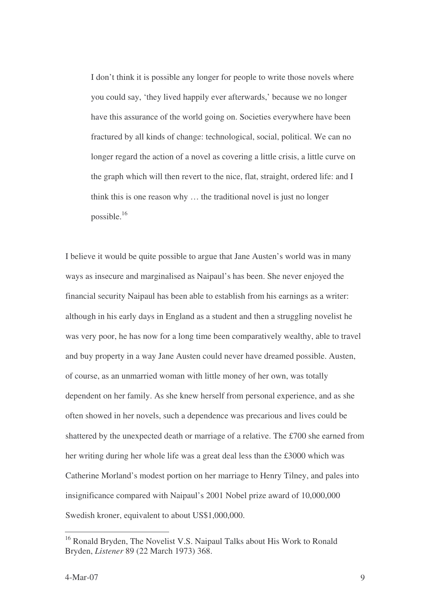I don't think it is possible any longer for people to write those novels where you could say, 'they lived happily ever afterwards,' because we no longer have this assurance of the world going on. Societies everywhere have been fractured by all kinds of change: technological, social, political. We can no longer regard the action of a novel as covering a little crisis, a little curve on the graph which will then revert to the nice, flat, straight, ordered life: and I think this is one reason why … the traditional novel is just no longer possible. 16

I believe it would be quite possible to argue that Jane Austen's world was in many ways as insecure and marginalised as Naipaul's has been. She never enjoyed the financial security Naipaul has been able to establish from his earnings as a writer: although in his early days in England as a student and then a struggling novelist he was very poor, he has now for a long time been comparatively wealthy, able to travel and buy property in a way Jane Austen could never have dreamed possible. Austen, of course, as an unmarried woman with little money of her own, was totally dependent on her family. As she knew herself from personal experience, and as she often showed in her novels, such a dependence was precarious and lives could be shattered by the unexpected death or marriage of a relative. The £700 she earned from her writing during her whole life was a great deal less than the £3000 which was Catherine Morland's modest portion on her marriage to Henry Tilney, and pales into insignificance compared with Naipaul's 2001 Nobel prize award of 10,000,000 Swedish kroner, equivalent to about US\$1,000,000.

<sup>&</sup>lt;sup>16</sup> Ronald Bryden, The Novelist V.S. Naipaul Talks about His Work to Ronald Bryden, *Listener* 89 (22 March 1973) 368.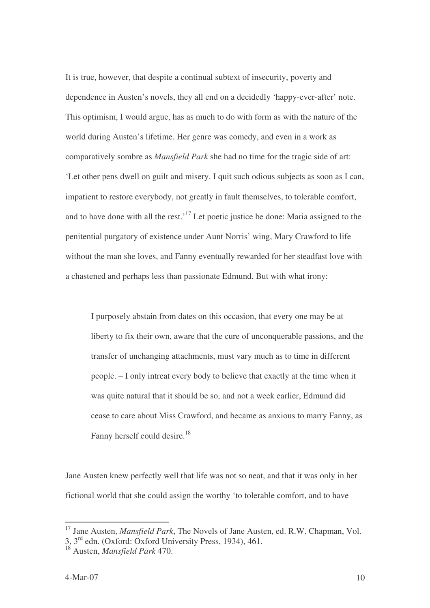It is true, however, that despite a continual subtext of insecurity, poverty and dependence in Austen's novels, they all end on a decidedly 'happy-ever-after' note. This optimism, I would argue, has as much to do with form as with the nature of the world during Austen's lifetime. Her genre was comedy, and even in a work as comparatively sombre as *Mansfield Park* she had no time for the tragic side of art: 'Let other pens dwell on guilt and misery. I quit such odious subjects as soon as I can, impatient to restore everybody, not greatly in fault themselves, to tolerable comfort, and to have done with all the rest.<sup>17</sup> Let poetic justice be done: Maria assigned to the penitential purgatory of existence under Aunt Norris' wing, Mary Crawford to life without the man she loves, and Fanny eventually rewarded for her steadfast love with a chastened and perhaps less than passionate Edmund. But with what irony:

I purposely abstain from dates on this occasion, that every one may be at liberty to fix their own, aware that the cure of unconquerable passions, and the transfer of unchanging attachments, must vary much as to time in different people. – I only intreat every body to believe that exactly at the time when it was quite natural that it should be so, and not a week earlier, Edmund did cease to care about Miss Crawford, and became as anxious to marry Fanny, as Fanny herself could desire.<sup>18</sup>

Jane Austen knew perfectly well that life was not so neat, and that it was only in her fictional world that she could assign the worthy 'to tolerable comfort, and to have

<sup>&</sup>lt;sup>17</sup> Jane Austen, *Mansfield Park*, The Novels of Jane Austen, ed. R.W. Chapman, Vol.

<sup>3,</sup> 3 rd edn. (Oxford: Oxford University Press, 1934), 461.

<sup>18</sup> Austen, *Mansfield Park* 470.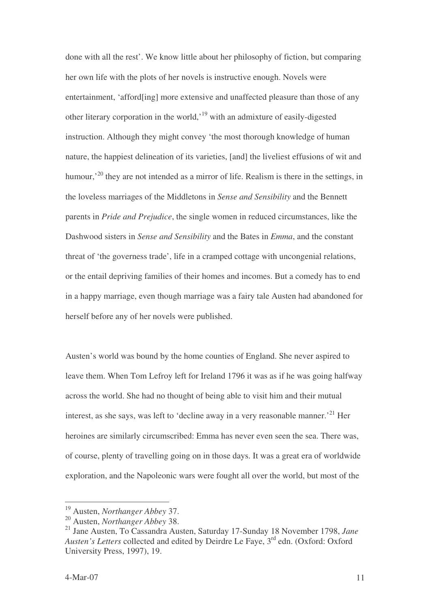done with all the rest'. We know little about her philosophy of fiction, but comparing her own life with the plots of her novels is instructive enough. Novels were entertainment, 'afford[ing] more extensive and unaffected pleasure than those of any other literary corporation in the world,<sup>19</sup> with an admixture of easily-digested instruction. Although they might convey 'the most thorough knowledge of human nature, the happiest delineation of its varieties, [and] the liveliest effusions of wit and humour,<sup>20</sup> they are not intended as a mirror of life. Realism is there in the settings, in the loveless marriages of the Middletons in *Sense and Sensibility* and the Bennett parents in *Pride and Prejudice*, the single women in reduced circumstances, like the Dashwood sisters in *Sense and Sensibility* and the Bates in *Emma*, and the constant threat of 'the governess trade', life in a cramped cottage with uncongenial relations, or the entail depriving families of their homes and incomes. But a comedy has to end in a happy marriage, even though marriage was a fairy tale Austen had abandoned for herself before any of her novels were published.

Austen's world was bound by the home counties of England. She never aspired to leave them. When Tom Lefroy left for Ireland 1796 it was as if he was going halfway across the world. She had no thought of being able to visit him and their mutual interest, as she says, was left to 'decline away in a very reasonable manner.<sup>21</sup> Her heroines are similarly circumscribed: Emma has never even seen the sea. There was, of course, plenty of travelling going on in those days. It was a great era of worldwide exploration, and the Napoleonic wars were fought all over the world, but most of the

<sup>19</sup> Austen, *Northanger Abbey* 37.

<sup>20</sup> Austen, *Northanger Abbey* 38.

<sup>21</sup> Jane Austen, To Cassandra Austen, Saturday 17-Sunday 18 November 1798, *Jane* Austen's Letters collected and edited by Deirdre Le Faye, 3<sup>rd</sup> edn. (Oxford: Oxford University Press, 1997), 19.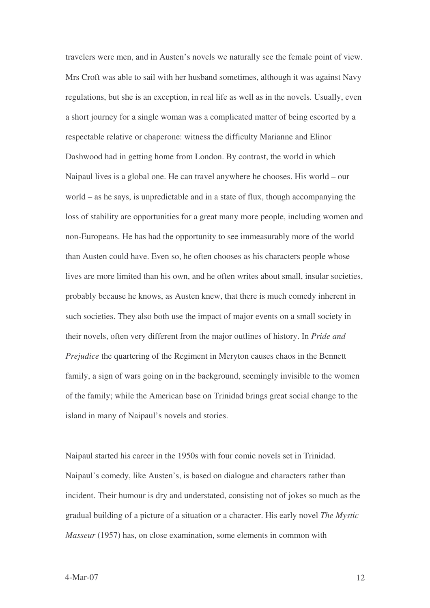travelers were men, and in Austen's novels we naturally see the female point of view. Mrs Croft was able to sail with her husband sometimes, although it was against Navy regulations, but she is an exception, in real life as well as in the novels. Usually, even a short journey for a single woman was a complicated matter of being escorted by a respectable relative or chaperone: witness the difficulty Marianne and Elinor Dashwood had in getting home from London. By contrast, the world in which Naipaul lives is a global one. He can travel anywhere he chooses. His world – our world – as he says, is unpredictable and in a state of flux, though accompanying the loss of stability are opportunities for a great many more people, including women and non-Europeans. He has had the opportunity to see immeasurably more of the world than Austen could have. Even so, he often chooses as his characters people whose lives are more limited than his own, and he often writes about small, insular societies, probably because he knows, as Austen knew, that there is much comedy inherent in such societies. They also both use the impact of major events on a small society in their novels, often very different from the major outlines of history. In *Pride and Prejudice* the quartering of the Regiment in Meryton causes chaos in the Bennett family, a sign of wars going on in the background, seemingly invisible to the women of the family; while the American base on Trinidad brings great social change to the island in many of Naipaul's novels and stories.

Naipaul started his career in the 1950s with four comic novels set in Trinidad. Naipaul's comedy, like Austen's, is based on dialogue and characters rather than incident. Their humour is dry and understated, consisting not of jokes so much as the gradual building of a picture of a situation or a character. His early novel *The Mystic Masseur* (1957) has, on close examination, some elements in common with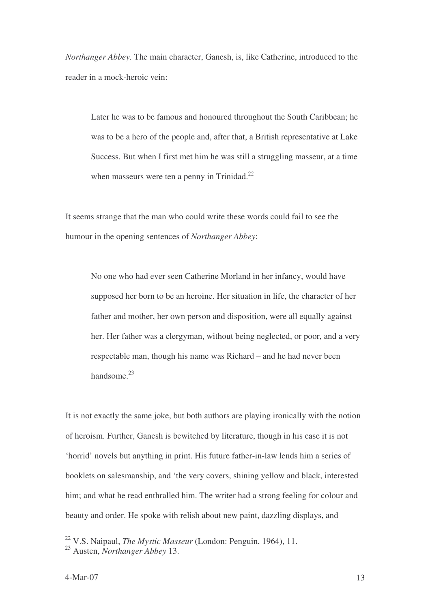*Northanger Abbey.* The main character, Ganesh, is, like Catherine, introduced to the reader in a mock-heroic vein:

Later he was to be famous and honoured throughout the South Caribbean; he was to be a hero of the people and, after that, a British representative at Lake Success. But when I first met him he was still a struggling masseur, at a time when masseurs were ten a penny in Trinidad.<sup>22</sup>

It seems strange that the man who could write these words could fail to see the humour in the opening sentences of *Northanger Abbey*:

No one who had ever seen Catherine Morland in her infancy, would have supposed her born to be an heroine. Her situation in life, the character of her father and mother, her own person and disposition, were all equally against her. Her father was a clergyman, without being neglected, or poor, and a very respectable man, though his name was Richard – and he had never been handsome.<sup>23</sup>

It is not exactly the same joke, but both authors are playing ironically with the notion of heroism. Further, Ganesh is bewitched by literature, though in his case it is not 'horrid' novels but anything in print. His future father-in-law lends him a series of booklets on salesmanship, and 'the very covers, shining yellow and black, interested him; and what he read enthralled him. The writer had a strong feeling for colour and beauty and order. He spoke with relish about new paint, dazzling displays, and

<sup>22</sup> V.S. Naipaul, *The Mystic Masseur* (London: Penguin, 1964), 11.

<sup>23</sup> Austen, *Northanger Abbey* 13.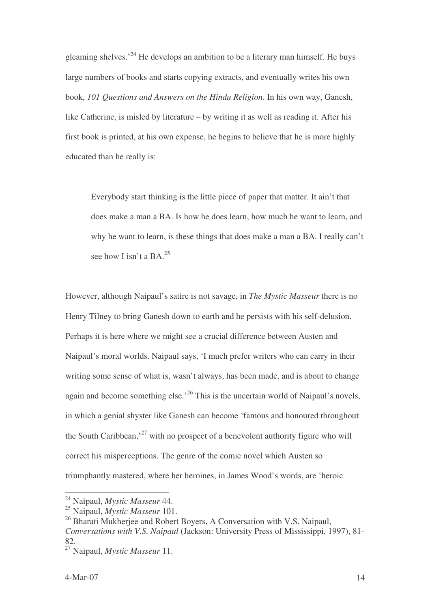gleaming shelves.<sup>24</sup> He develops an ambition to be a literary man himself. He buys large numbers of books and starts copying extracts, and eventually writes his own book, *101 Questions and Answers on the Hindu Religion*. In his own way, Ganesh, like Catherine, is misled by literature – by writing it as well as reading it. After his first book is printed, at his own expense, he begins to believe that he is more highly educated than he really is:

Everybody start thinking is the little piece of paper that matter. It ain't that does make a man a BA. Is how he does learn, how much he want to learn, and why he want to learn, is these things that does make a man a BA. I really can't see how I isn't a BA.<sup>25</sup>

However, although Naipaul's satire is not savage, in *The Mystic Masseur* there is no Henry Tilney to bring Ganesh down to earth and he persists with his self-delusion. Perhaps it is here where we might see a crucial difference between Austen and Naipaul's moral worlds. Naipaul says, 'I much prefer writers who can carry in their writing some sense of what is, wasn't always, has been made, and is about to change again and become something else.<sup>26</sup> This is the uncertain world of Naipaul's novels, in which a genial shyster like Ganesh can become 'famous and honoured throughout the South Caribbean,<sup>27</sup> with no prospect of a benevolent authority figure who will correct his misperceptions. The genre of the comic novel which Austen so triumphantly mastered, where her heroines, in James Wood's words, are 'heroic

<sup>24</sup> Naipaul, *Mystic Masseur* 44.

<sup>25</sup> Naipaul, *Mystic Masseur* 101.

<sup>&</sup>lt;sup>26</sup> Bharati Mukherjee and Robert Boyers, A Conversation with V.S. Naipaul, *Conversations with V.S. Naipaul* (Jackson: University Press of Mississippi, 1997), 81- 82.

<sup>27</sup> Naipaul, *Mystic Masseur* 11.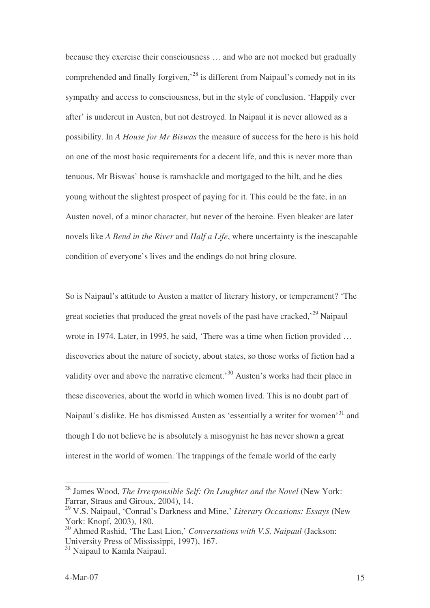because they exercise their consciousness … and who are not mocked but gradually comprehended and finally forgiven,<sup>28</sup> is different from Naipaul's comedy not in its sympathy and access to consciousness, but in the style of conclusion. 'Happily ever after' is undercut in Austen, but not destroyed. In Naipaul it is never allowed as a possibility. In *A House for Mr Biswas* the measure of success for the hero is his hold on one of the most basic requirements for a decent life, and this is never more than tenuous. Mr Biswas' house is ramshackle and mortgaged to the hilt, and he dies young without the slightest prospect of paying for it. This could be the fate, in an Austen novel, of a minor character, but never of the heroine. Even bleaker are later novels like *A Bend in the River* and *Half a Life*, where uncertainty is the inescapable condition of everyone's lives and the endings do not bring closure.

So is Naipaul's attitude to Austen a matter of literary history, or temperament? 'The great societies that produced the great novels of the past have cracked,<sup>29</sup> Naipaul wrote in 1974. Later, in 1995, he said, 'There was a time when fiction provided … discoveries about the nature of society, about states, so those works of fiction had a validity over and above the narrative element.<sup>30</sup> Austen's works had their place in these discoveries, about the world in which women lived. This is no doubt part of Naipaul's dislike. He has dismissed Austen as 'essentially a writer for women'<sup>31</sup> and though I do not believe he is absolutely a misogynist he has never shown a great interest in the world of women. The trappings of the female world of the early

<sup>28</sup> James Wood, *The Irresponsible Self: On Laughter and the Novel* (New York: Farrar, Straus and Giroux, 2004), 14.

<sup>29</sup> V.S. Naipaul, 'Conrad's Darkness and Mine,' *Literary Occasions: Essays* (New York: Knopf, 2003), 180.

<sup>30</sup> Ahmed Rashid, 'The Last Lion,' *Conversations with V.S. Naipaul* (Jackson: University Press of Mississippi, 1997), 167.

<sup>&</sup>lt;sup>31</sup> Naipaul to Kamla Naipaul.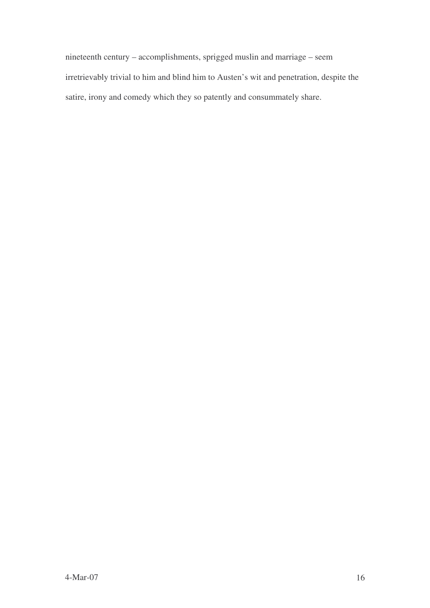nineteenth century – accomplishments, sprigged muslin and marriage – seem irretrievably trivial to him and blind him to Austen's wit and penetration, despite the satire, irony and comedy which they so patently and consummately share.